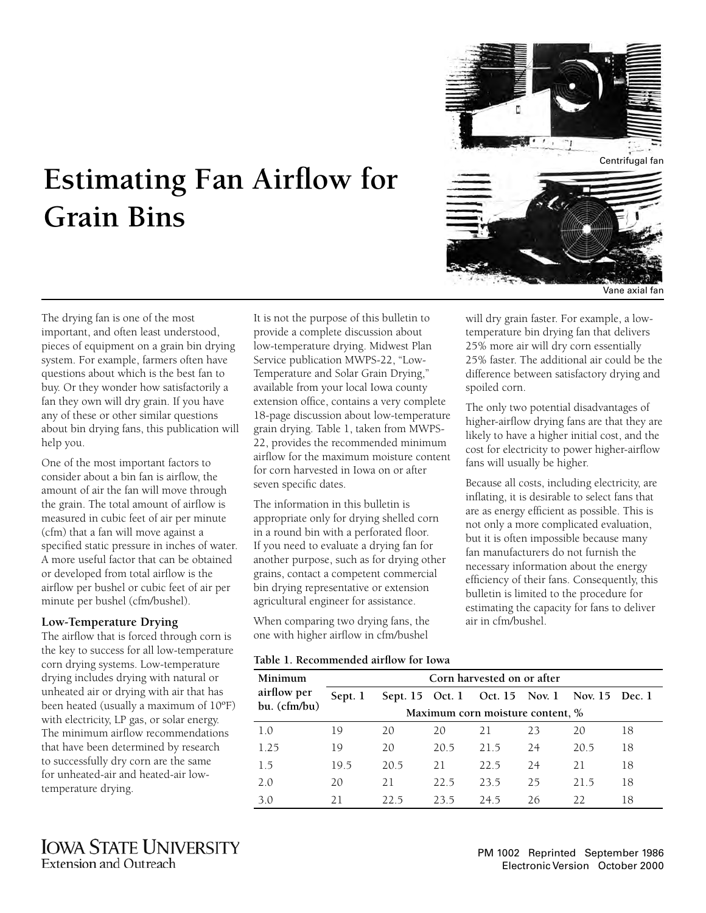

# **Estimating Fan Airflow for Grain Bins**

The drying fan is one of the most important, and often least understood, pieces of equipment on a grain bin drying system. For example, farmers often have questions about which is the best fan to buy. Or they wonder how satisfactorily a fan they own will dry grain. If you have any of these or other similar questions about bin drying fans, this publication will help you.

One of the most important factors to consider about a bin fan is airflow, the amount of air the fan will move through the grain. The total amount of airflow is measured in cubic feet of air per minute (cfm) that a fan will move against a specified static pressure in inches of water. A more useful factor that can be obtained or developed from total airflow is the airflow per bushel or cubic feet of air per minute per bushel (cfm/bushel).

### **Low-Temperature Drying**

The airflow that is forced through corn is the key to success for all low-temperature corn drying systems. Low-temperature drying includes drying with natural or unheated air or drying with air that has been heated (usually a maximum of 10ºF) with electricity, LP gas, or solar energy. The minimum airflow recommendations that have been determined by research to successfully dry corn are the same for unheated-air and heated-air lowtemperature drying.

It is not the purpose of this bulletin to provide a complete discussion about low-temperature drying. Midwest Plan Service publication MWPS-22, "Low-Temperature and Solar Grain Drying," available from your local Iowa county extension office, contains a very complete 18-page discussion about low-temperature grain drying. Table 1, taken from MWPS-22, provides the recommended minimum airflow for the maximum moisture content for corn harvested in Iowa on or after seven specific dates.

The information in this bulletin is appropriate only for drying shelled corn in a round bin with a perforated floor. If you need to evaluate a drying fan for another purpose, such as for drying other grains, contact a competent commercial bin drying representative or extension agricultural engineer for assistance.

When comparing two drying fans, the one with higher airflow in cfm/bushel

**Table 1. Recommended airflow for Iowa**

will dry grain faster. For example, a lowtemperature bin drying fan that delivers 25% more air will dry corn essentially 25% faster. The additional air could be the difference between satisfactory drying and spoiled corn.

The only two potential disadvantages of higher-airflow drying fans are that they are likely to have a higher initial cost, and the cost for electricity to power higher-airflow fans will usually be higher.

Because all costs, including electricity, are inflating, it is desirable to select fans that are as energy efficient as possible. This is not only a more complicated evaluation, but it is often impossible because many fan manufacturers do not furnish the necessary information about the energy efficiency of their fans. Consequently, this bulletin is limited to the procedure for estimating the capacity for fans to deliver air in cfm/bushel.

| Minimum      | Table 1. Recommended an how for Towa<br>Corn harvested on or after |      |      |                                               |    |      |    |
|--------------|--------------------------------------------------------------------|------|------|-----------------------------------------------|----|------|----|
| airflow per  | Sept. 1                                                            |      |      | Sept. 15 Oct. 1 Oct. 15 Nov. 1 Nov. 15 Dec. 1 |    |      |    |
| bu. (cfm/bu) | Maximum corn moisture content, %                                   |      |      |                                               |    |      |    |
| 1.0          | 19                                                                 | 20   | 20   | 21                                            | 23 | 20   | 18 |
| 1.25         | 19                                                                 | 20   | 20.5 | 215                                           | 24 | 20.5 | 18 |
| 15           | 19.5                                                               | 20.5 | 21   | 22.5                                          | 24 | 21   | 18 |
| 2.0          | 20                                                                 | 21   | 22.5 | 235                                           | 25 | 215  | 18 |
| 3.0          | 21                                                                 | 22.5 | 23.5 | 24.5                                          | 26 | 22   | 18 |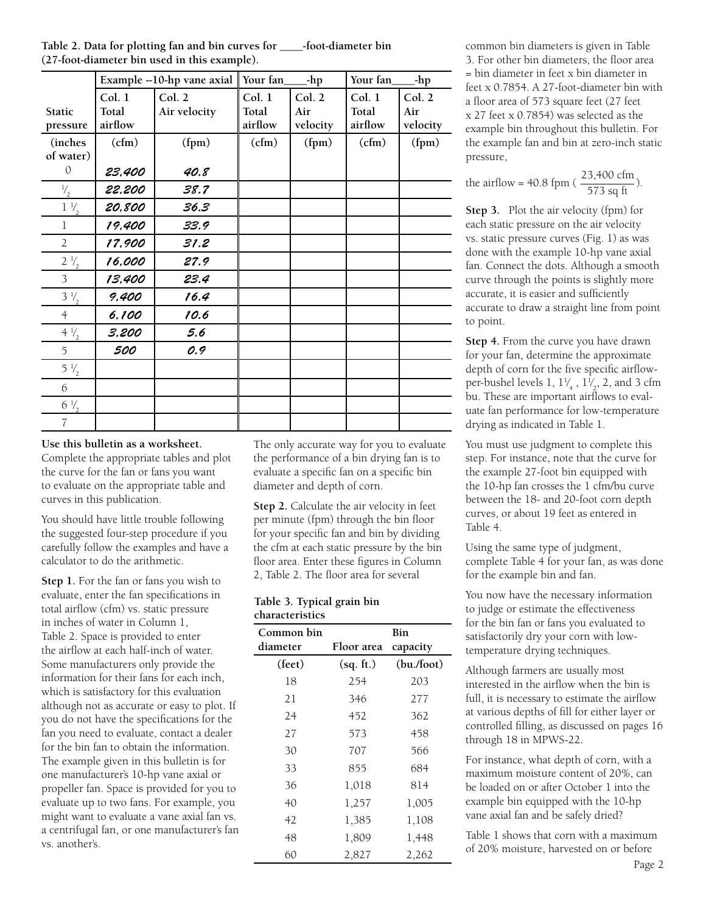| Table 2. Data for plotting fan and bin curves for | -foot-diameter bin |
|---------------------------------------------------|--------------------|
| (27-foot-diameter bin used in this example).      |                    |

|                | Example --10-hp vane axial |              | Your fan<br>-hp |          | Your fan<br>-hp |          |
|----------------|----------------------------|--------------|-----------------|----------|-----------------|----------|
|                | Col. 1                     | Col. 2       | Col. 1          | Col. 2   | Col. 1          | Col. 2   |
| <b>Static</b>  | Total                      | Air velocity | Total           | Air      | Total           | Air      |
| pressure       | airflow                    |              | airflow         | velocity | airflow         | velocity |
| <i>(inches</i> | (cfm)                      | (fpm)        | (cfm)           | (fpm)    | (cfm)           | (fpm)    |
| of water)      |                            |              |                 |          |                 |          |
| $\mathcal{O}$  | 23,400                     | 40.8         |                 |          |                 |          |
| $\frac{1}{2}$  | 22,200                     | 38.7         |                 |          |                 |          |
| $1\frac{1}{2}$ | 20,800                     | 36.3         |                 |          |                 |          |
| 1              | 19,400                     | 33.9         |                 |          |                 |          |
| $\overline{2}$ | 17,900                     | 31.2         |                 |          |                 |          |
| $2\frac{1}{2}$ | 16,000                     | 27.9         |                 |          |                 |          |
| 3              | 13,400                     | 23.4         |                 |          |                 |          |
| $3\frac{1}{2}$ | 9,400                      | 16.4         |                 |          |                 |          |
| $\overline{4}$ | 6,100                      | 10.6         |                 |          |                 |          |
| $4\frac{1}{2}$ | 3,200                      | 5.6          |                 |          |                 |          |
| 5              | 500                        | 0.9          |                 |          |                 |          |
| $5\frac{1}{2}$ |                            |              |                 |          |                 |          |
| 6              |                            |              |                 |          |                 |          |
| $6\frac{1}{2}$ |                            |              |                 |          |                 |          |
| $\overline{7}$ |                            |              |                 |          |                 |          |

# **Use this bulletin as a worksheet.**

Complete the appropriate tables and plot the curve for the fan or fans you want to evaluate on the appropriate table and curves in this publication.

You should have little trouble following the suggested four-step procedure if you carefully follow the examples and have a calculator to do the arithmetic.

**Step 1.** For the fan or fans you wish to evaluate, enter the fan specifications in total airflow (cfm) vs. static pressure in inches of water in Column 1, Table 2. Space is provided to enter the airflow at each half-inch of water. Some manufacturers only provide the information for their fans for each inch, which is satisfactory for this evaluation although not as accurate or easy to plot. If you do not have the specifications for the fan you need to evaluate, contact a dealer for the bin fan to obtain the information. The example given in this bulletin is for one manufacturer's 10-hp vane axial or propeller fan. Space is provided for you to evaluate up to two fans. For example, you might want to evaluate a vane axial fan vs. a centrifugal fan, or one manufacturer's fan vs. another's.

The only accurate way for you to evaluate the performance of a bin drying fan is to evaluate a specific fan on a specific bin diameter and depth of corn.

**Step 2.** Calculate the air velocity in feet per minute (fpm) through the bin floor for your specific fan and bin by dividing the cfm at each static pressure by the bin floor area. Enter these figures in Column 2, Table 2. The floor area for several

#### **Table 3. Typical grain bin characteristics**

| Common bin | Bin        |            |  |  |
|------------|------------|------------|--|--|
| diameter   | Floor area | capacity   |  |  |
| (feet)     | (sq. ft.)  | (bu./foot) |  |  |
| 18         | 254        | 203        |  |  |
| 21         | 346        | 277        |  |  |
| 24         | 452        | 362        |  |  |
| 27         | 573        | 458        |  |  |
| 30         | 707        | 566        |  |  |
| 33         | 855        | 684        |  |  |
| 36         | 1,018      | 814        |  |  |
| 40         | 1,257      | 1,005      |  |  |
| 42         | 1,385      | 1,108      |  |  |
| 48         | 1,809      | 1,448      |  |  |
| 60         | 2,827      | 2,262      |  |  |

common bin diameters is given in Table 3. For other bin diameters, the floor area = bin diameter in feet x bin diameter in feet x 0.7854. A 27-foot-diameter bin with a floor area of 573 square feet (27 feet x 27 feet x 0.7854) was selected as the example bin throughout this bulletin. For the example fan and bin at zero-inch static pressure,

the airflow = 40.8 fpm (
$$
\frac{23,400 \text{ cfm}}{573 \text{ sq ft}}
$$
).

**Step 3.** Plot the air velocity (fpm) for each static pressure on the air velocity vs. static pressure curves (Fig. 1) as was done with the example 10-hp vane axial fan. Connect the dots. Although a smooth curve through the points is slightly more accurate, it is easier and sufficiently accurate to draw a straight line from point to point.

**Step 4.** From the curve you have drawn for your fan, determine the approximate depth of corn for the five specific airflowper-bushel levels 1,  $1\frac{1}{4}$ ,  $1\frac{1}{2}$ , 2, and 3 cfm ⁄ ⁄ bu. These are important airflows to evaluate fan performance for low-temperature drying as indicated in Table 1.

You must use judgment to complete this step. For instance, note that the curve for the example 27-foot bin equipped with the 10-hp fan crosses the 1 cfm/bu curve between the 18- and 20-foot corn depth curves, or about 19 feet as entered in Table 4.

Using the same type of judgment, complete Table 4 for your fan, as was done for the example bin and fan.

You now have the necessary information to judge or estimate the effectiveness for the bin fan or fans you evaluated to satisfactorily dry your corn with lowtemperature drying techniques.

Although farmers are usually most interested in the airflow when the bin is full, it is necessary to estimate the airflow at various depths of fill for either layer or controlled filling, as discussed on pages 16 through 18 in MPWS-22.

For instance, what depth of corn, with a maximum moisture content of 20%, can be loaded on or after October 1 into the example bin equipped with the 10-hp vane axial fan and be safely dried?

Table 1 shows that corn with a maximum of 20% moisture, harvested on or before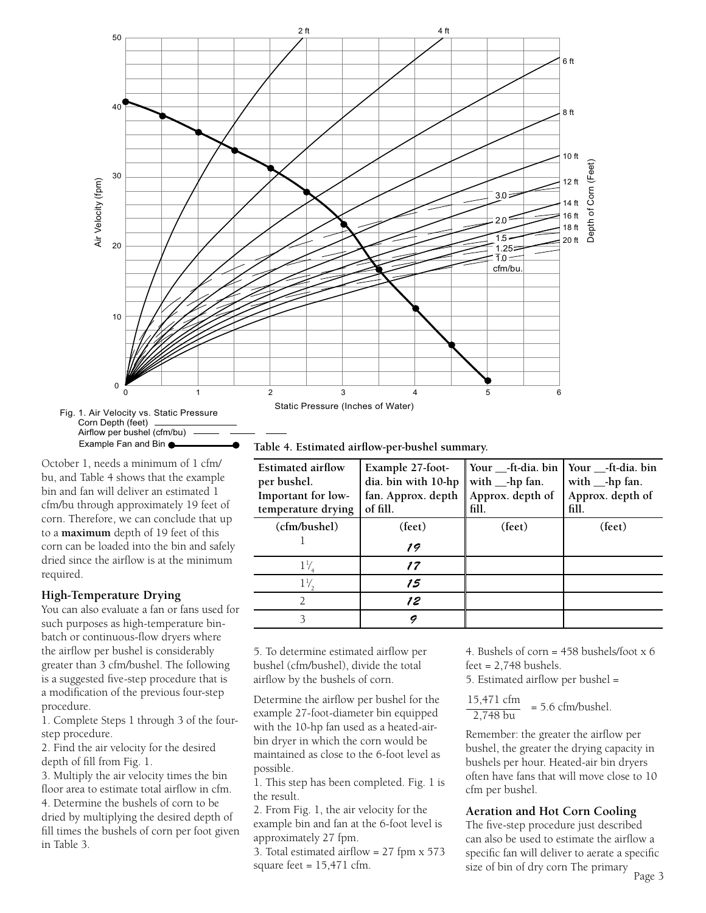

**Table 4. Estimated airflow-per-bushel summary.**

| Estimated airflow<br>per bushel.<br>Important for low-<br>temperature drying | Example 27-foot-<br>dia. bin with 10-hp<br>fan. Approx. depth<br>of fill. | Your __-ft-dia. bin<br>with $_{\text{--}}$ -hp fan.<br>Approx. depth of<br>fill. | Your __-ft-dia. bin<br>with $_{\text{--}}$ -hp fan.<br>Approx. depth of<br>fill. |
|------------------------------------------------------------------------------|---------------------------------------------------------------------------|----------------------------------------------------------------------------------|----------------------------------------------------------------------------------|
| (cfm/bushel)                                                                 | (feet)                                                                    | (feet)                                                                           | (feet)                                                                           |
|                                                                              | 19                                                                        |                                                                                  |                                                                                  |
| $1\frac{1}{2}$                                                               | 17                                                                        |                                                                                  |                                                                                  |
| $1\frac{1}{2}$                                                               | 15                                                                        |                                                                                  |                                                                                  |
|                                                                              | 12                                                                        |                                                                                  |                                                                                  |
|                                                                              |                                                                           |                                                                                  |                                                                                  |

5. To determine estimated airflow per bushel (cfm/bushel), divide the total airflow by the bushels of corn.

Determine the airflow per bushel for the example 27-foot-diameter bin equipped with the 10-hp fan used as a heated-airbin dryer in which the corn would be maintained as close to the 6-foot level as possible.

1. This step has been completed. Fig. 1 is the result.

2. From Fig. 1, the air velocity for the example bin and fan at the 6-foot level is approximately 27 fpm.

3. Total estimated airflow = 27 fpm x 573 square feet  $= 15,471$  cfm.

4. Bushels of corn = 458 bushels/foot x 6  $feet = 2,748$  bushels.

5. Estimated airflow per bushel =

$$
\frac{15,471 \text{ cfm}}{2,748 \text{ bu}} = 5.6 \text{ cfm/bushel.}
$$

Remember: the greater the airflow per bushel, the greater the drying capacity in bushels per hour. Heated-air bin dryers often have fans that will move close to 10 cfm per bushel.

#### **Aeration and Hot Corn Cooling**

The five-step procedure just described can also be used to estimate the airflow a specific fan will deliver to aerate a specific size of bin of dry corn The primary

October 1, needs a minimum of 1 cfm/ bu, and Table 4 shows that the example bin and fan will deliver an estimated 1 cfm/bu through approximately 19 feet of corn. Therefore, we can conclude that up to a **maximum** depth of 19 feet of this corn can be loaded into the bin and safely dried since the airflow is at the minimum required.

## **High-Temperature Drying**

You can also evaluate a fan or fans used for such purposes as high-temperature binbatch or continuous-flow dryers where the airflow per bushel is considerably greater than 3 cfm/bushel. The following is a suggested five-step procedure that is a modification of the previous four-step procedure.

1. Complete Steps 1 through 3 of the fourstep procedure.

2. Find the air velocity for the desired depth of fill from Fig. 1.

3. Multiply the air velocity times the bin floor area to estimate total airflow in cfm. 4. Determine the bushels of corn to be dried by multiplying the desired depth of fill times the bushels of corn per foot given in Table 3.